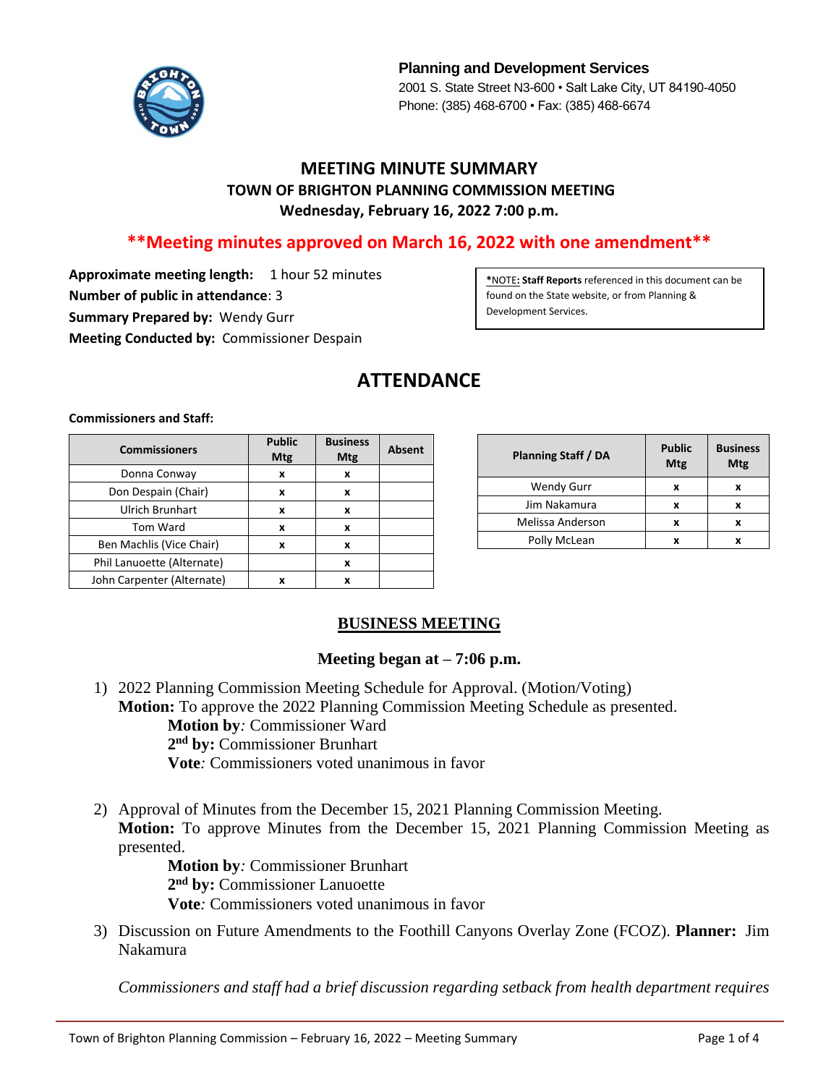

**Planning and Development Services** 2001 S. State Street N3-600 • Salt Lake City, UT 84190-4050 Phone: (385) 468-6700 • Fax: (385) 468-6674

### **MEETING MINUTE SUMMARY TOWN OF BRIGHTON PLANNING COMMISSION MEETING Wednesday, February 16, 2022 7:00 p.m.**

# **\*\*Meeting minutes approved on March 16, 2022 with one amendment\*\***

**Approximate meeting length:** 1 hour 52 minutes **Number of public in attendance**: 3 **Summary Prepared by:** Wendy Gurr **Meeting Conducted by:** Commissioner Despain

**\***NOTE**: Staff Reports** referenced in this document can be found on the State website, or from Planning & Development Services.

# **ATTENDANCE**

**Commissioners and Staff:**

| <b>Commissioners</b>       | <b>Public</b><br>Mtg | <b>Business</b><br>Mtg | <b>Absent</b> |
|----------------------------|----------------------|------------------------|---------------|
| Donna Conway               | x                    | x                      |               |
| Don Despain (Chair)        | x                    | x                      |               |
| <b>Ulrich Brunhart</b>     | x                    | x                      |               |
| <b>Tom Ward</b>            | x                    | x                      |               |
| Ben Machlis (Vice Chair)   | x                    | x                      |               |
| Phil Lanuoette (Alternate) |                      | X                      |               |
| John Carpenter (Alternate) | x                    | x                      |               |

| <b>Planning Staff / DA</b> | <b>Public</b><br>Mtg | <b>Business</b><br>Mtg |
|----------------------------|----------------------|------------------------|
| <b>Wendy Gurr</b>          | x                    |                        |
| Jim Nakamura               | x                    |                        |
| Melissa Anderson           | x                    |                        |
| Polly McLean               |                      |                        |

#### **BUSINESS MEETING**

#### **Meeting began at – 7:06 p.m.**

- 1) 2022 Planning Commission Meeting Schedule for Approval. (Motion/Voting) **Motion:** To approve the 2022 Planning Commission Meeting Schedule as presented. **Motion by***:* Commissioner Ward **2 nd by:** Commissioner Brunhart **Vote***:* Commissioners voted unanimous in favor
- 2) Approval of Minutes from the December 15, 2021 Planning Commission Meeting. **Motion:** To approve Minutes from the December 15, 2021 Planning Commission Meeting as presented.

**Motion by***:* Commissioner Brunhart **2 nd by:** Commissioner Lanuoette **Vote***:* Commissioners voted unanimous in favor

3) Discussion on Future Amendments to the Foothill Canyons Overlay Zone (FCOZ). **Planner:** Jim Nakamura

*Commissioners and staff had a brief discussion regarding setback from health department requires*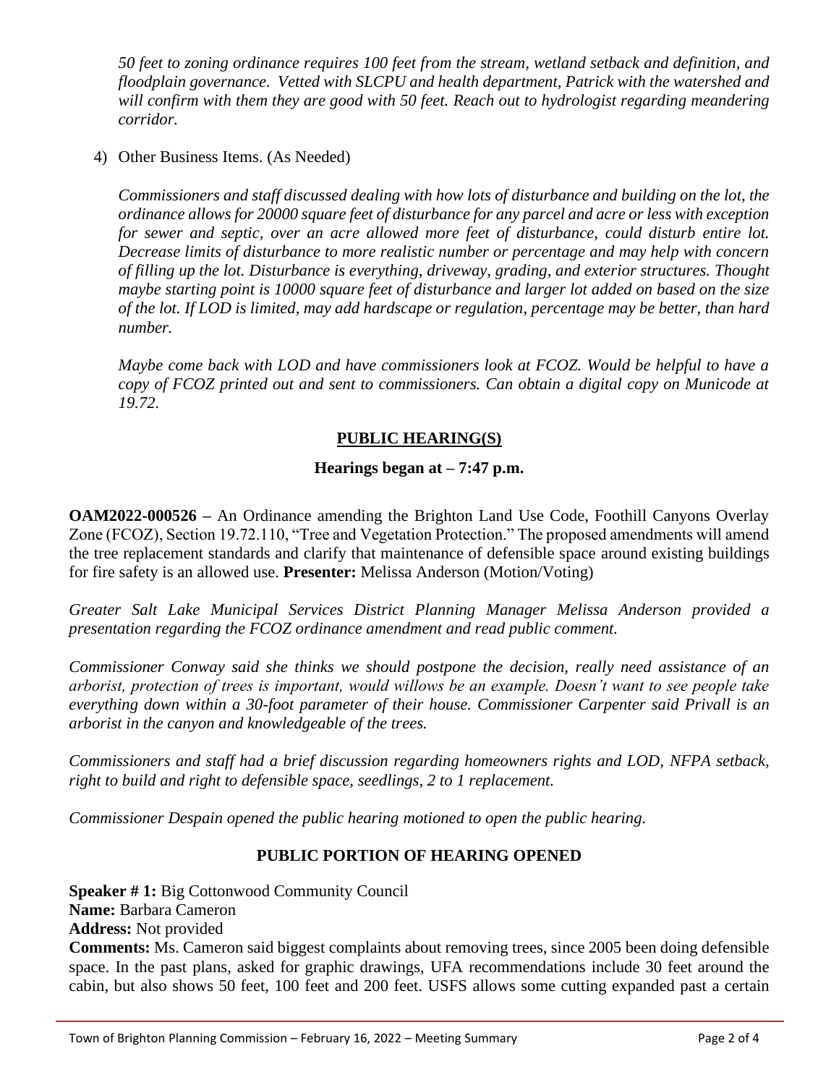*50 feet to zoning ordinance requires 100 feet from the stream, wetland setback and definition, and floodplain governance. Vetted with SLCPU and health department, Patrick with the watershed and will confirm with them they are good with 50 feet. Reach out to hydrologist regarding meandering corridor.* 

4) Other Business Items. (As Needed)

*Commissioners and staff discussed dealing with how lots of disturbance and building on the lot, the ordinance allows for 20000 square feet of disturbance for any parcel and acre or less with exception for sewer and septic, over an acre allowed more feet of disturbance, could disturb entire lot. Decrease limits of disturbance to more realistic number or percentage and may help with concern of filling up the lot. Disturbance is everything, driveway, grading, and exterior structures. Thought maybe starting point is 10000 square feet of disturbance and larger lot added on based on the size of the lot. If LOD is limited, may add hardscape or regulation, percentage may be better, than hard number.*

*Maybe come back with LOD and have commissioners look at FCOZ. Would be helpful to have a copy of FCOZ printed out and sent to commissioners. Can obtain a digital copy on Municode at 19.72.*

#### **PUBLIC HEARING(S)**

### **Hearings began at – 7:47 p.m.**

**OAM2022-000526 –** An Ordinance amending the Brighton Land Use Code, Foothill Canyons Overlay Zone (FCOZ), Section 19.72.110, "Tree and Vegetation Protection." The proposed amendments will amend the tree replacement standards and clarify that maintenance of defensible space around existing buildings for fire safety is an allowed use. **Presenter:** Melissa Anderson (Motion/Voting)

*Greater Salt Lake Municipal Services District Planning Manager Melissa Anderson provided a presentation regarding the FCOZ ordinance amendment and read public comment.*

*Commissioner Conway said she thinks we should postpone the decision, really need assistance of an arborist, protection of trees is important, would willows be an example. Doesn't want to see people take everything down within a 30-foot parameter of their house. Commissioner Carpenter said Privall is an arborist in the canyon and knowledgeable of the trees.*

*Commissioners and staff had a brief discussion regarding homeowners rights and LOD, NFPA setback, right to build and right to defensible space, seedlings, 2 to 1 replacement.*

*Commissioner Despain opened the public hearing motioned to open the public hearing.*

# **PUBLIC PORTION OF HEARING OPENED**

**Speaker # 1:** Big Cottonwood Community Council **Name:** Barbara Cameron **Address:** Not provided **Comments:** Ms. Cameron said biggest complaints about removing trees, since 2005 been doing defensible

space. In the past plans, asked for graphic drawings, UFA recommendations include 30 feet around the cabin, but also shows 50 feet, 100 feet and 200 feet. USFS allows some cutting expanded past a certain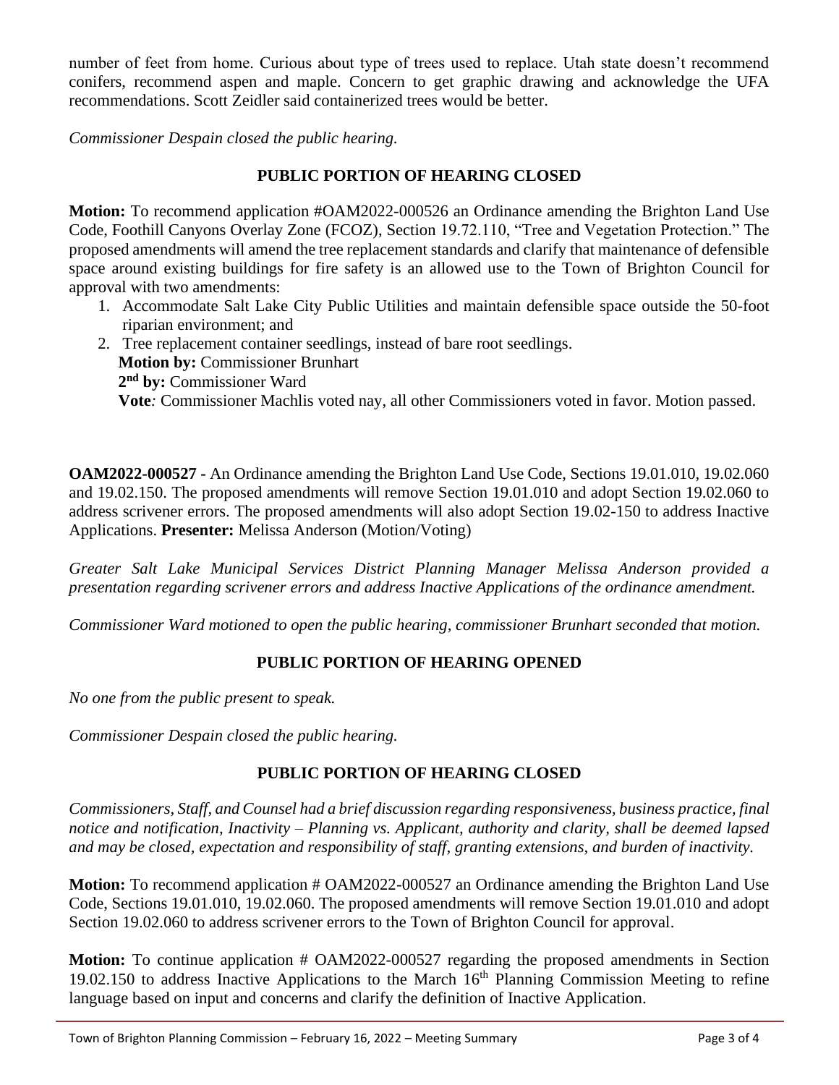number of feet from home. Curious about type of trees used to replace. Utah state doesn't recommend conifers, recommend aspen and maple. Concern to get graphic drawing and acknowledge the UFA recommendations. Scott Zeidler said containerized trees would be better.

*Commissioner Despain closed the public hearing.*

### **PUBLIC PORTION OF HEARING CLOSED**

**Motion:** To recommend application #OAM2022-000526 an Ordinance amending the Brighton Land Use Code, Foothill Canyons Overlay Zone (FCOZ), Section 19.72.110, "Tree and Vegetation Protection." The proposed amendments will amend the tree replacement standards and clarify that maintenance of defensible space around existing buildings for fire safety is an allowed use to the Town of Brighton Council for approval with two amendments:

- 1. Accommodate Salt Lake City Public Utilities and maintain defensible space outside the 50-foot riparian environment; and
- 2. Tree replacement container seedlings, instead of bare root seedlings. **Motion by:** Commissioner Brunhart **2 nd by:** Commissioner Ward **Vote***:* Commissioner Machlis voted nay, all other Commissioners voted in favor. Motion passed.

**OAM2022-000527 -** An Ordinance amending the Brighton Land Use Code, Sections 19.01.010, 19.02.060 and 19.02.150. The proposed amendments will remove Section 19.01.010 and adopt Section 19.02.060 to address scrivener errors. The proposed amendments will also adopt Section 19.02-150 to address Inactive Applications. **Presenter:** Melissa Anderson (Motion/Voting)

*Greater Salt Lake Municipal Services District Planning Manager Melissa Anderson provided a presentation regarding scrivener errors and address Inactive Applications of the ordinance amendment.*

*Commissioner Ward motioned to open the public hearing, commissioner Brunhart seconded that motion.*

# **PUBLIC PORTION OF HEARING OPENED**

*No one from the public present to speak.*

*Commissioner Despain closed the public hearing.*

# **PUBLIC PORTION OF HEARING CLOSED**

*Commissioners, Staff, and Counsel had a brief discussion regarding responsiveness, business practice, final notice and notification, Inactivity – Planning vs. Applicant, authority and clarity, shall be deemed lapsed and may be closed, expectation and responsibility of staff, granting extensions, and burden of inactivity.*

**Motion:** To recommend application # OAM2022-000527 an Ordinance amending the Brighton Land Use Code, Sections 19.01.010, 19.02.060. The proposed amendments will remove Section 19.01.010 and adopt Section 19.02.060 to address scrivener errors to the Town of Brighton Council for approval.

**Motion:** To continue application # OAM2022-000527 regarding the proposed amendments in Section 19.02.150 to address Inactive Applications to the March  $16<sup>th</sup>$  Planning Commission Meeting to refine language based on input and concerns and clarify the definition of Inactive Application.